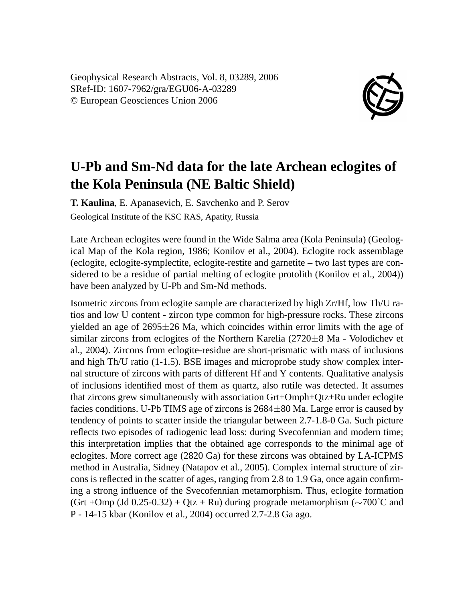Geophysical Research Abstracts, Vol. 8, 03289, 2006 SRef-ID: 1607-7962/gra/EGU06-A-03289 © European Geosciences Union 2006



## **U-Pb and Sm-Nd data for the late Archean eclogites of the Kola Peninsula (NE Baltic Shield)**

**T. Kaulina**, E. Apanasevich, E. Savchenko and P. Serov Geological Institute of the KSC RAS, Apatity, Russia

Late Archean eclogites were found in the Wide Salma area (Kola Peninsula) (Geological Map of the Kola region, 1986; Konilov et al., 2004). Eclogite rock assemblage (eclogite, eclogite-symplectite, eclogite-restite and garnetite – two last types are considered to be a residue of partial melting of eclogite protolith (Konilov et al., 2004)) have been analyzed by U-Pb and Sm-Nd methods.

Isometric zircons from eclogite sample are characterized by high Zr/Hf, low Th/U ratios and low U content - zircon type common for high-pressure rocks. These zircons yielded an age of  $2695\pm26$  Ma, which coincides within error limits with the age of similar zircons from eclogites of the Northern Karelia (2720±8 Ma - Volodichev et al., 2004). Zircons from eclogite-residue are short-prismatic with mass of inclusions and high Th/U ratio (1-1.5). BSE images and microprobe study show complex internal structure of zircons with parts of different Hf and Y contents. Qualitative analysis of inclusions identified most of them as quartz, also rutile was detected. It assumes that zircons grew simultaneously with association Grt+Omph+Qtz+Ru under eclogite facies conditions. U-Pb TIMS age of zircons is  $2684\pm80$  Ma. Large error is caused by tendency of points to scatter inside the triangular between 2.7-1.8-0 Ga. Such picture reflects two episodes of radiogenic lead loss: during Svecofennian and modern time; this interpretation implies that the obtained age corresponds to the minimal age of eclogites. More correct age (2820 Ga) for these zircons was obtained by LA-ICPMS method in Australia, Sidney (Natapov et al., 2005). Complex internal structure of zircons is reflected in the scatter of ages, ranging from 2.8 to 1.9 Ga, once again confirming a strong influence of the Svecofennian metamorphism. Thus, eclogite formation (Grt +Omp (Jd 0.25-0.32) + Qtz + Ru) during prograde metamorphism ( $\sim$ 700 $^{\circ}$ C and P - 14-15 kbar (Konilov et al., 2004) occurred 2.7-2.8 Ga ago.